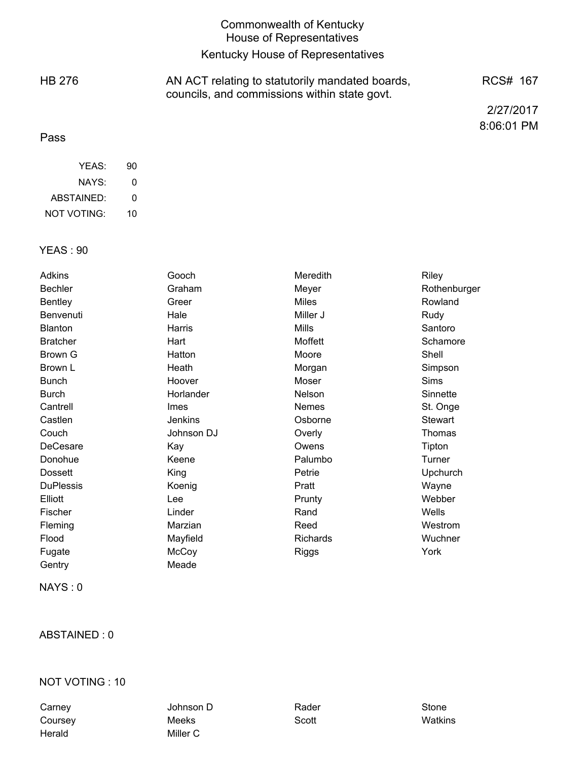|               | <b>Commonwealth of Kentucky</b><br><b>House of Representatives</b>                              |            |
|---------------|-------------------------------------------------------------------------------------------------|------------|
|               | Kentucky House of Representatives                                                               |            |
| <b>HB 276</b> | AN ACT relating to statutorily mandated boards,<br>councils, and commissions within state govt. | RCS# 167   |
|               |                                                                                                 | 2/27/2017  |
| Pass          |                                                                                                 | 8:06:01 PM |

| YFAS:       | 90 |
|-------------|----|
| NAYS:       | O  |
| ABSTAINED:  | O  |
| NOT VOTING: | 10 |

#### YEAS : 90

| Adkins           | Gooch          | Meredith     | Riley           |
|------------------|----------------|--------------|-----------------|
| <b>Bechler</b>   | Graham         | Meyer        | Rothenburger    |
| <b>Bentley</b>   | Greer          | <b>Miles</b> | Rowland         |
| Benvenuti        | Hale           | Miller J     | Rudy            |
| Blanton          | Harris         | <b>Mills</b> | Santoro         |
| <b>Bratcher</b>  | Hart           | Moffett      | Schamore        |
| Brown G          | Hatton         | Moore        | Shell           |
| Brown L          | Heath          | Morgan       | Simpson         |
| <b>Bunch</b>     | Hoover         | Moser        | Sims            |
| <b>Burch</b>     | Horlander      | Nelson       | Sinnette        |
| Cantrell         | Imes           | <b>Nemes</b> | St. Onge        |
| Castlen          | <b>Jenkins</b> | Osborne      | <b>Stewart</b>  |
| Couch            | Johnson DJ     | Overly       | Thomas          |
| DeCesare         | Kay            | Owens        | Tipton          |
| Donohue          | Keene          | Palumbo      | Turner          |
| <b>Dossett</b>   | King           | Petrie       | <b>Upchurch</b> |
| <b>DuPlessis</b> | Koenig         | Pratt        | Wayne           |
| Elliott          | Lee            | Prunty       | Webber          |
| Fischer          | Linder         | Rand         | Wells           |
| Fleming          | Marzian        | Reed         | Westrom         |
| Flood            | Mayfield       | Richards     | Wuchner         |
| Fugate           | McCoy          | Riggs        | York            |
| Gentry           | Meade          |              |                 |
|                  |                |              |                 |

NAYS : 0

# ABSTAINED : 0

### NOT VOTING : 10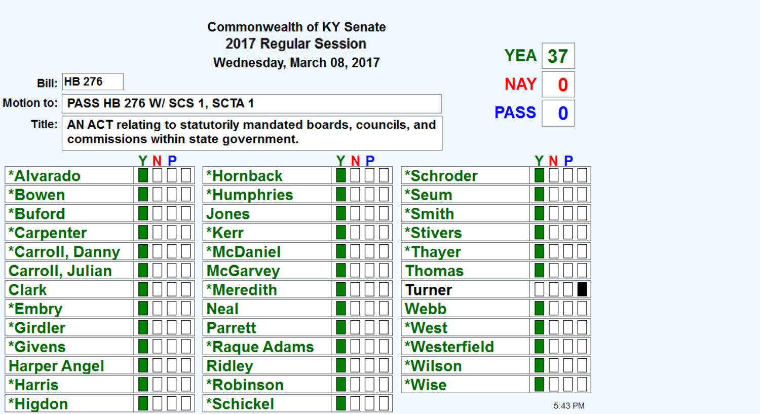|                        |                                                                                                       |            | <b>Commonwealth of KY Senate</b><br>2017 Regular Session |           |              |             |         |
|------------------------|-------------------------------------------------------------------------------------------------------|------------|----------------------------------------------------------|-----------|--------------|-------------|---------|
|                        |                                                                                                       |            | Wednesday, March 08, 2017                                |           |              | <b>YEA</b>  | 37      |
|                        | <b>Bill: HB 276</b>                                                                                   |            |                                                          |           |              | <b>NAY</b>  | 0       |
| Motion to:             |                                                                                                       |            |                                                          |           |              |             |         |
|                        | PASS HB 276 W/ SCS 1, SCTA 1                                                                          |            |                                                          |           |              | <b>PASS</b> | 0       |
| Title:                 | AN ACT relating to statutorily mandated boards, councils, and<br>commissions within state government. |            |                                                          |           |              |             |         |
|                        |                                                                                                       | <b>YNP</b> |                                                          | <b>NP</b> |              |             | N P     |
| *Alvarado              |                                                                                                       |            | *Hornback                                                |           | *Schroder    |             |         |
| *Bowen                 |                                                                                                       |            | <b>*Humphries</b>                                        |           | *Seum        |             |         |
| *Buford                |                                                                                                       |            | Jones                                                    |           | *Smith       |             |         |
| *Carpenter             |                                                                                                       |            | *Kerr                                                    |           | *Stivers     |             |         |
|                        | *Carroll, Danny                                                                                       |            | <b>*McDaniel</b>                                         |           | *Thayer      |             |         |
| <b>Carroll, Julian</b> |                                                                                                       |            | <b>McGarvey</b>                                          |           | Thomas       |             |         |
| <b>Clark</b>           |                                                                                                       |            | *Meredith                                                |           | Turner       |             |         |
| *Embry                 |                                                                                                       |            | Neal                                                     |           | Webb         |             |         |
| *Girdler               |                                                                                                       |            | <b>Parrett</b>                                           |           | *West        |             |         |
| <i><b>*Givens</b></i>  |                                                                                                       |            | *Raque Adams                                             |           | *Westerfield |             |         |
| <b>Harper Angel</b>    |                                                                                                       |            | <b>Ridley</b>                                            |           | *Wilson      |             |         |
| <b>*Harris</b>         |                                                                                                       |            | <b>*Robinson</b>                                         |           | *Wise        |             |         |
| *Higdon                |                                                                                                       |            | *Schickel                                                |           |              |             | 5:43 PM |